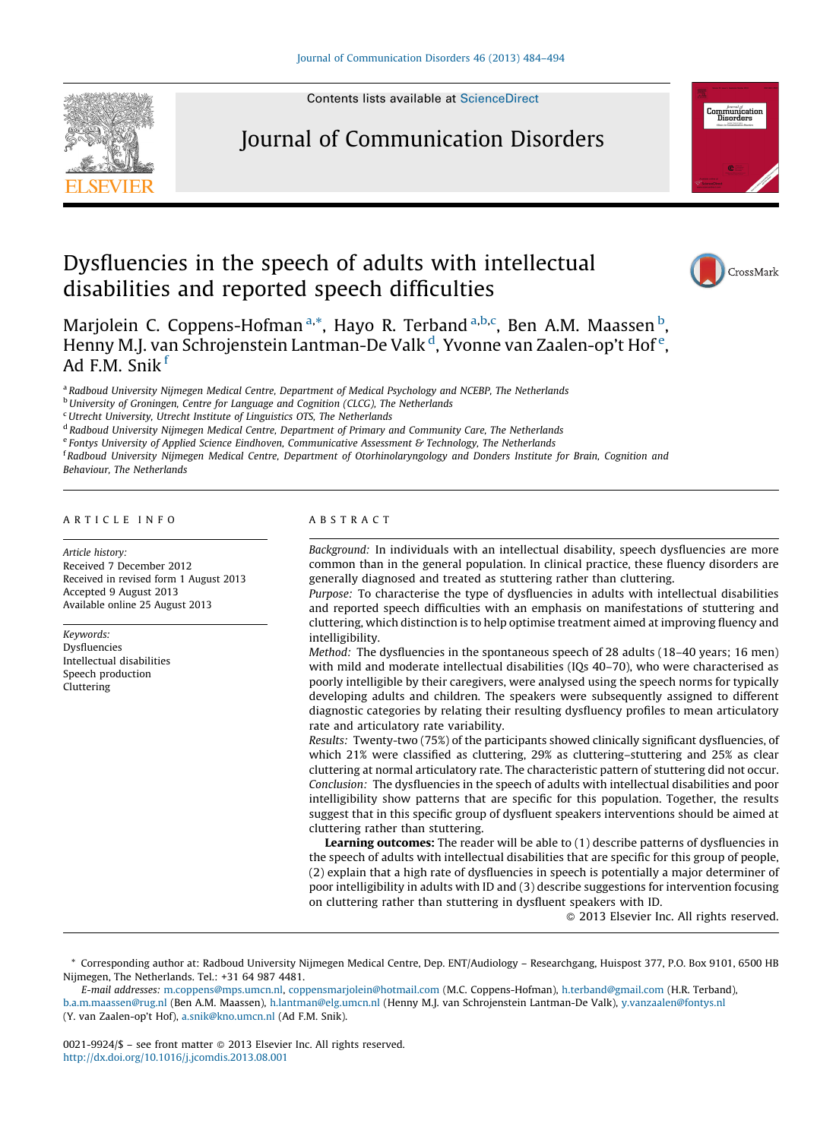

Contents lists available at [ScienceDirect](http://www.sciencedirect.com/science/journal/00219924)

## Journal of Communication Disorders



## Dysfluencies in the speech of adults with intellectual disabilities and reported speech difficulties



Marjolein C. Coppens-Hofman<sup>a,\*</sup>, Hayo R. Terband<sup>a,b,c</sup>, Ben A.M. Maassen<sup>b</sup>, Henny M.J. van Schrojenstein Lantman-De Valk <sup>d</sup>, Yvonne van Zaalen-op't Hof <sup>e</sup>, Ad F.M. Snik <sup>f</sup>

a Radboud University Nijmegen Medical Centre, Department of Medical Psychology and NCEBP, The Netherlands

**b University of Groningen, Centre for Language and Cognition (CLCG), The Netherlands** 

<sup>c</sup>Utrecht University, Utrecht Institute of Linguistics OTS, The Netherlands

<sup>d</sup> Radboud University Nijmegen Medical Centre, Department of Primary and Community Care, The Netherlands

 $e$  Fontys University of Applied Science Eindhoven, Communicative Assessment & Technology, The Netherlands

<sup>f</sup> Radboud University Nijmegen Medical Centre, Department of Otorhinolaryngology and Donders Institute for Brain, Cognition and Behaviour, The Netherlands

#### A R T I C L E I N F O

Article history: Received 7 December 2012 Received in revised form 1 August 2013 Accepted 9 August 2013 Available online 25 August 2013

Keywords: Dysfluencies Intellectual disabilities Speech production Cluttering

### A B S T R A C T

Background: In individuals with an intellectual disability, speech dysfluencies are more common than in the general population. In clinical practice, these fluency disorders are generally diagnosed and treated as stuttering rather than cluttering.

Purpose: To characterise the type of dysfluencies in adults with intellectual disabilities and reported speech difficulties with an emphasis on manifestations of stuttering and cluttering, which distinction is to help optimise treatment aimed at improving fluency and intelligibility.

Method: The dysfluencies in the spontaneous speech of 28 adults (18–40 years; 16 men) with mild and moderate intellectual disabilities (IQs 40–70), who were characterised as poorly intelligible by their caregivers, were analysed using the speech norms for typically developing adults and children. The speakers were subsequently assigned to different diagnostic categories by relating their resulting dysfluency profiles to mean articulatory rate and articulatory rate variability.

Results: Twenty-two (75%) of the participants showed clinically significant dysfluencies, of which 21% were classified as cluttering, 29% as cluttering–stuttering and 25% as clear cluttering at normal articulatory rate. The characteristic pattern of stuttering did not occur. Conclusion: The dysfluencies in the speech of adults with intellectual disabilities and poor intelligibility show patterns that are specific for this population. Together, the results suggest that in this specific group of dysfluent speakers interventions should be aimed at cluttering rather than stuttering.

Learning outcomes: The reader will be able to (1) describe patterns of dysfluencies in the speech of adults with intellectual disabilities that are specific for this group of people, (2) explain that a high rate of dysfluencies in speech is potentially a major determiner of poor intelligibility in adults with ID and (3) describe suggestions for intervention focusing on cluttering rather than stuttering in dysfluent speakers with ID.

- 2013 Elsevier Inc. All rights reserved.

\* Corresponding author at: Radboud University Nijmegen Medical Centre, Dep. ENT/Audiology – Researchgang, Huispost 377, P.O. Box 9101, 6500 HB Nijmegen, The Netherlands. Tel.: +31 64 987 4481.

E-mail addresses: [m.coppens@mps.umcn.nl](mailto:m.coppens@mps.umcn.nl), [coppensmarjolein@hotmail.com](mailto:coppensmarjolein@hotmail.com) (M.C. Coppens-Hofman), [h.terband@gmail.com](mailto:h.terband@gmail.com) (H.R. Terband), [b.a.m.maassen@rug.nl](mailto:b.a.m.maassen@rug.nl) (Ben A.M. Maassen), [h.lantman@elg.umcn.nl](mailto:h.lantman@elg.umcn.nl) (Henny M.J. van Schrojenstein Lantman-De Valk), [y.vanzaalen@fontys.nl](mailto:y.vanzaalen@fontys.nl) (Y. van Zaalen-op't Hof), [a.snik@kno.umcn.nl](mailto:a.snik@kno.umcn.nl) (Ad F.M. Snik).

0021-9924/\$ – see front matter © 2013 Elsevier Inc. All rights reserved. <http://dx.doi.org/10.1016/j.jcomdis.2013.08.001>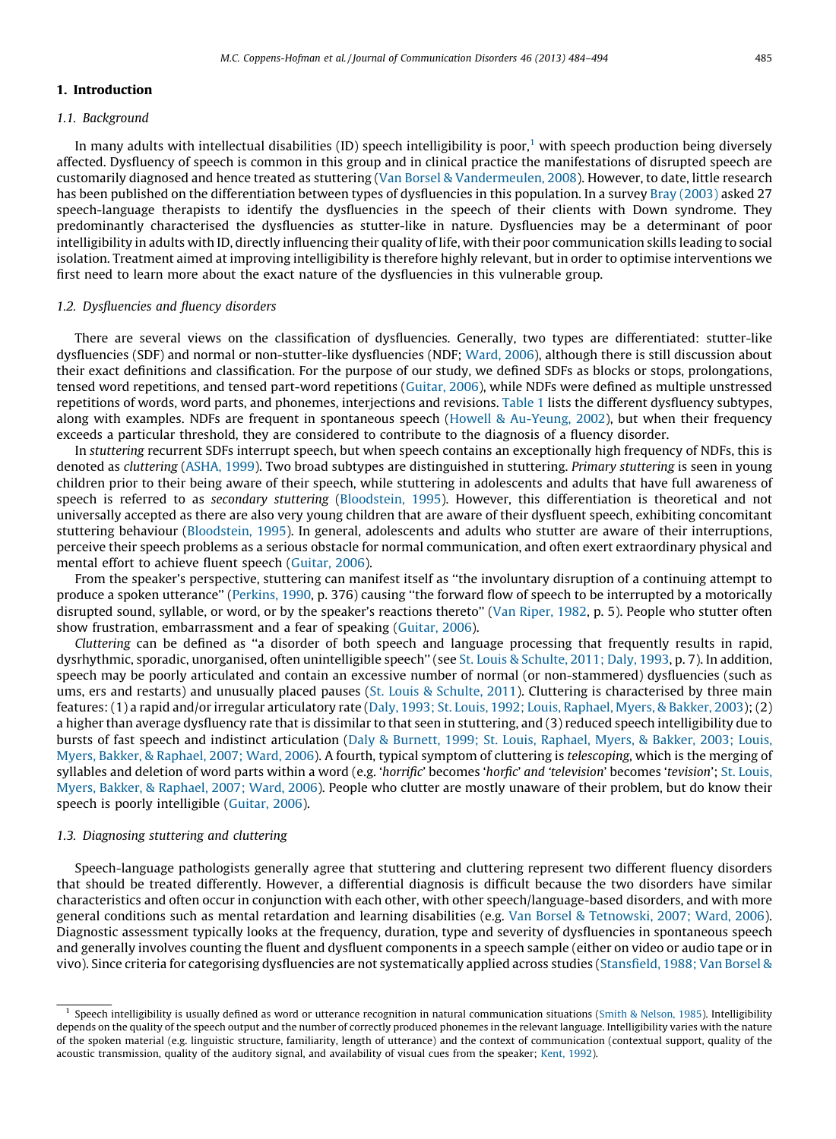#### 1. Introduction

#### 1.1. Background

In many adults with intellectual disabilities (ID) speech intelligibility is poor,<sup>1</sup> with speech production being diversely affected. Dysfluency of speech is common in this group and in clinical practice the manifestations of disrupted speech are customarily diagnosed and hence treated as stuttering (Van Borsel & [Vandermeulen,](#page--1-0) 2008). However, to date, little research has been published on the differentiation between types of dysfluencies in this population. In a survey Bray [\(2003\)](#page--1-0) asked 27 speech-language therapists to identify the dysfluencies in the speech of their clients with Down syndrome. They predominantly characterised the dysfluencies as stutter-like in nature. Dysfluencies may be a determinant of poor intelligibility in adults with ID, directly influencing their quality of life, with their poor communication skills leading to social isolation. Treatment aimed at improving intelligibility is therefore highly relevant, but in order to optimise interventions we first need to learn more about the exact nature of the dysfluencies in this vulnerable group.

#### 1.2. Dysfluencies and fluency disorders

There are several views on the classification of dysfluencies. Generally, two types are differentiated: stutter-like dysfluencies (SDF) and normal or non-stutter-like dysfluencies (NDF; [Ward,](#page--1-0) 2006), although there is still discussion about their exact definitions and classification. For the purpose of our study, we defined SDFs as blocks or stops, prolongations, tensed word repetitions, and tensed part-word repetitions [\(Guitar,](#page--1-0) 2006), while NDFs were defined as multiple unstressed repetitions of words, word parts, and phonemes, interjections and revisions. [Table](#page--1-0) 1 lists the different dysfluency subtypes, along with examples. NDFs are frequent in spontaneous speech (Howell & [Au-Yeung,](#page--1-0) 2002), but when their frequency exceeds a particular threshold, they are considered to contribute to the diagnosis of a fluency disorder.

In stuttering recurrent SDFs interrupt speech, but when speech contains an exceptionally high frequency of NDFs, this is denoted as cluttering [\(ASHA,](#page--1-0) 1999). Two broad subtypes are distinguished in stuttering. Primary stuttering is seen in young children prior to their being aware of their speech, while stuttering in adolescents and adults that have full awareness of speech is referred to as secondary stuttering ([Bloodstein,](#page--1-0) 1995). However, this differentiation is theoretical and not universally accepted as there are also very young children that are aware of their dysfluent speech, exhibiting concomitant stuttering behaviour [\(Bloodstein,](#page--1-0) 1995). In general, adolescents and adults who stutter are aware of their interruptions, perceive their speech problems as a serious obstacle for normal communication, and often exert extraordinary physical and mental effort to achieve fluent speech ([Guitar,](#page--1-0) 2006).

From the speaker's perspective, stuttering can manifest itself as ''the involuntary disruption of a continuing attempt to produce a spoken utterance'' [\(Perkins,](#page--1-0) 1990, p. 376) causing ''the forward flow of speech to be interrupted by a motorically disrupted sound, syllable, or word, or by the speaker's reactions thereto" (Van [Riper,](#page--1-0) 1982, p. 5). People who stutter often show frustration, embarrassment and a fear of speaking [\(Guitar,](#page--1-0) 2006).

Cluttering can be defined as ''a disorder of both speech and language processing that frequently results in rapid, dysrhythmic, sporadic, unorganised, often unintelligible speech'' (see St. Louis & [Schulte,](#page--1-0) 2011; Daly, 1993, p. 7). In addition, speech may be poorly articulated and contain an excessive number of normal (or non-stammered) dysfluencies (such as ums, ers and restarts) and unusually placed pauses (St. Louis & [Schulte,](#page--1-0) 2011). Cluttering is characterised by three main features: (1) a rapid and/or irregular articulatory rate (Daly, 1993; St. Louis, 1992; Louis, [Raphael,](#page--1-0) Myers, & Bakker, 2003); (2) a higher than average dysfluency rate that is dissimilar to that seen in stuttering, and (3) reduced speech intelligibility due to bursts of fast speech and indistinct articulation (Daly & Burnett, 1999; St. Louis, [Raphael,](#page--1-0) Myers, & Bakker, 2003; Louis, Myers, Bakker, & [Raphael,](#page--1-0) 2007; Ward, 2006). A fourth, typical symptom of cluttering is telescoping, which is the merging of syllables and deletion of word parts within a word (e.g. 'horrific' becomes 'horfic' and 'television' becomes 'tevision'; St. [Louis,](#page--1-0) Myers, Bakker, & [Raphael,](#page--1-0) 2007; Ward, 2006). People who clutter are mostly unaware of their problem, but do know their speech is poorly intelligible [\(Guitar,](#page--1-0) 2006).

#### 1.3. Diagnosing stuttering and cluttering

Speech-language pathologists generally agree that stuttering and cluttering represent two different fluency disorders that should be treated differently. However, a differential diagnosis is difficult because the two disorders have similar characteristics and often occur in conjunction with each other, with other speech/language-based disorders, and with more general conditions such as mental retardation and learning disabilities (e.g. Van Borsel & [Tetnowski,](#page--1-0) 2007; Ward, 2006). Diagnostic assessment typically looks at the frequency, duration, type and severity of dysfluencies in spontaneous speech and generally involves counting the fluent and dysfluent components in a speech sample (either on video or audio tape or in vivo). Since criteria for categorising dysfluencies are not systematically applied across studies [\(Stansfield,](#page--1-0) 1988; Van Borsel &

<sup>&</sup>lt;sup>1</sup> Speech intelligibility is usually defined as word or utterance recognition in natural communication situations (Smith & [Nelson,](#page--1-0) 1985). Intelligibility depends on the quality of the speech output and the number of correctly produced phonemes in the relevant language. Intelligibility varies with the nature of the spoken material (e.g. linguistic structure, familiarity, length of utterance) and the context of communication (contextual support, quality of the acoustic transmission, quality of the auditory signal, and availability of visual cues from the speaker; [Kent,](#page--1-0) 1992).